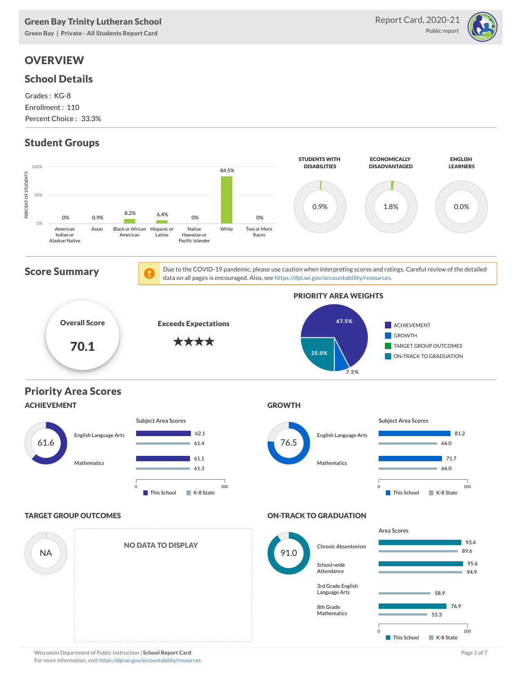Green Bay | Private - All Students Report Card

# **OVERVIEW**

### School Details

Grades : KG-8 Enrollment : 110 Percent Choice : 33.3%

# Student Groups



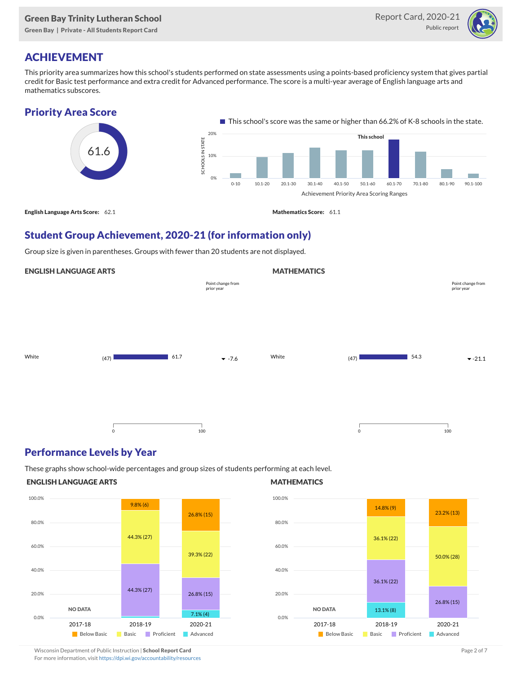### Green Bay Trinity Lutheran School

Green Bay | Private - All Students Report Card



# ACHIEVEMENT

This priority area summarizes how this school's students performed on state assessments using a points-based proficiency system that gives partial credit for Basic test performance and extra credit for Advanced performance. The score is a multi-year average of English language arts and mathematics subscores.



## Student Group Achievement, 2020-21 (for information only)

Group size is given in parentheses. Groups with fewer than 20 students are not displayed.

### ENGLISH LANGUAGE ARTS

|       |             |      | Point change from<br>prior year |       |         |      | Point change from<br>prior year |
|-------|-------------|------|---------------------------------|-------|---------|------|---------------------------------|
|       |             |      |                                 |       |         |      |                                 |
| White | (47)        | 61.7 | $-7.6$                          | White | (47)    | 54.3 | $-21.1$                         |
|       |             |      |                                 |       |         |      |                                 |
|       | $\mathbf 0$ | 100  |                                 |       | $\circ$ |      | 100                             |

### Performance Levels by Year

These graphs show school-wide percentages and group sizes of students performing at each level.

### ENGLISH LANGUAGE ARTS



### **MATHEMATICS**

**MATHEMATICS** 



Wisconsin Department of Public Instruction | School Report Card Page 2 of 7 and 2008 and 2009 and 2 of 7 and 2 of 7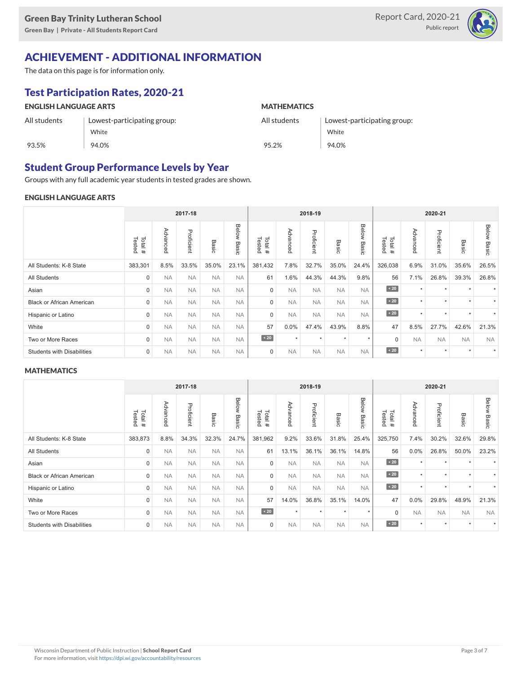

# ACHIEVEMENT - ADDITIONAL INFORMATION

The data on this page is for information only.

# Test Participation Rates, 2020-21

| <b>ENGLISH LANGUAGE ARTS</b> |                             | <b>MATHEMATICS</b> |                             |  |  |  |  |
|------------------------------|-----------------------------|--------------------|-----------------------------|--|--|--|--|
| All students                 | Lowest-participating group: | All students       | Lowest-participating group: |  |  |  |  |
|                              | White                       |                    | White                       |  |  |  |  |
| 93.5%                        | 94.0%                       | 95.2%              | 94.0%                       |  |  |  |  |

### Student Group Performance Levels by Year

Groups with any full academic year students in tested grades are shown.

### ENGLISH LANGUAGE ARTS

|                                   | 2017-18          |           |            |           |                       | 2018-19          |           |            |                 | 2020-21        |                  |                                     |            |                 |                |
|-----------------------------------|------------------|-----------|------------|-----------|-----------------------|------------------|-----------|------------|-----------------|----------------|------------------|-------------------------------------|------------|-----------------|----------------|
|                                   | Tested<br>Total# | Advanced  | Proficient | Basic     | Below<br><b>Basic</b> | Total#<br>Tested | Advanced  | Proficient | Basi<br>$\circ$ | Below<br>Basic | Tested<br>Total# | Adv<br>ance <sub>o</sub><br>$\circ$ | Proficient | Basi<br>$\circ$ | Below<br>Basic |
| All Students: K-8 State           | 383,301          | 8.5%      | 33.5%      | 35.0%     | 23.1%                 | 381,432          | 7.8%      | 32.7%      | 35.0%           | 24.4%          | 326,038          | 6.9%                                | 31.0%      | 35.6%           | 26.5%          |
| <b>All Students</b>               | $\mathbf 0$      | <b>NA</b> | <b>NA</b>  | <b>NA</b> | <b>NA</b>             | 61               | 1.6%      | 44.3%      | 44.3%           | 9.8%           | 56               | 7.1%                                | 26.8%      | 39.3%           | 26.8%          |
| Asian                             | $\Omega$         | <b>NA</b> | <b>NA</b>  | <b>NA</b> | <b>NA</b>             | $\mathbf 0$      | <b>NA</b> | <b>NA</b>  | <b>NA</b>       | <b>NA</b>      | $\angle 20$      | $\star$                             | $\star$    | $\ddot{}$       |                |
| <b>Black or African American</b>  | $\Omega$         | <b>NA</b> | <b>NA</b>  | <b>NA</b> | <b>NA</b>             | $\mathbf 0$      | <b>NA</b> | <b>NA</b>  | <b>NA</b>       | <b>NA</b>      | $\sim 20$        | $\star$                             | $\star$    | $\star$         |                |
| Hispanic or Latino                | $\mathbf 0$      | <b>NA</b> | <b>NA</b>  | <b>NA</b> | <b>NA</b>             | $\mathbf 0$      | <b>NA</b> | <b>NA</b>  | <b>NA</b>       | <b>NA</b>      | $\angle 20$      | $\star$                             | $\star$    | $\ddot{}$       |                |
| White                             | $\Omega$         | <b>NA</b> | <b>NA</b>  | <b>NA</b> | <b>NA</b>             | 57               | 0.0%      | 47.4%      | 43.9%           | 8.8%           | 47               | 8.5%                                | 27.7%      | 42.6%           | 21.3%          |
| Two or More Races                 | $\mathbf 0$      | <b>NA</b> | <b>NA</b>  | <b>NA</b> | <b>NA</b>             | $\angle 20$      | $\star$   | $\star$    | $\star$         | $\star$        | $\mathbf 0$      | <b>NA</b>                           | <b>NA</b>  | <b>NA</b>       | <b>NA</b>      |
| <b>Students with Disabilities</b> | $\mathbf 0$      | <b>NA</b> | <b>NA</b>  | <b>NA</b> | <b>NA</b>             | $\mathbf 0$      | <b>NA</b> | <b>NA</b>  | <b>NA</b>       | <b>NA</b>      | $\sim 20$        | $\star$                             | $\star$    | $\star$         |                |

#### **MATHEMATICS**

|                                   | 2017-18          |           |            |           |                | 2018-19          |           |            |              | 2020-21        |                  |                  |            |           |                |
|-----------------------------------|------------------|-----------|------------|-----------|----------------|------------------|-----------|------------|--------------|----------------|------------------|------------------|------------|-----------|----------------|
|                                   | Tested<br>Total# | Advanced  | Proficient | Basic     | Below<br>Basic | Total#<br>Tested | Advanced  | Proficient | <b>Basic</b> | Below<br>Basic | Tested<br>Total# | Adv<br>ance<br>Õ | Proficient | Basic     | Below<br>Basic |
| All Students: K-8 State           | 383,873          | 8.8%      | 34.3%      | 32.3%     | 24.7%          | 381,962          | 9.2%      | 33.6%      | 31.8%        | 25.4%          | 325,750          | 7.4%             | 30.2%      | 32.6%     | 29.8%          |
| <b>All Students</b>               | $\mathbf 0$      | <b>NA</b> | <b>NA</b>  | <b>NA</b> | <b>NA</b>      | 61               | 13.1%     | 36.1%      | 36.1%        | 14.8%          | 56               | $0.0\%$          | 26.8%      | 50.0%     | 23.2%          |
| Asian                             | $\Omega$         | <b>NA</b> | <b>NA</b>  | <b>NA</b> | <b>NA</b>      | $\Omega$         | <b>NA</b> | <b>NA</b>  | <b>NA</b>    | <b>NA</b>      | $\angle 20$      | $\star$          | ٠          |           |                |
| <b>Black or African American</b>  | $\Omega$         | <b>NA</b> | <b>NA</b>  | <b>NA</b> | <b>NA</b>      | $\mathbf 0$      | <b>NA</b> | <b>NA</b>  | <b>NA</b>    | <b>NA</b>      | $\sim 20$        | $\star$          | $\star$    | $\ddot{}$ |                |
| Hispanic or Latino                | $\Omega$         | <b>NA</b> | <b>NA</b>  | <b>NA</b> | <b>NA</b>      | $\Omega$         | <b>NA</b> | <b>NA</b>  | <b>NA</b>    | <b>NA</b>      | $\angle 20$      | $\star$          | $\star$    | $\ddot{}$ |                |
| White                             | $\Omega$         | <b>NA</b> | <b>NA</b>  | <b>NA</b> | <b>NA</b>      | 57               | 14.0%     | 36.8%      | 35.1%        | 14.0%          | 47               | 0.0%             | 29.8%      | 48.9%     | 21.3%          |
| Two or More Races                 | $\Omega$         | <b>NA</b> | <b>NA</b>  | <b>NA</b> | <b>NA</b>      | $\sim 20$        | $\star$   | $\star$    | ٠            | $\star$        | $\mathbf 0$      | <b>NA</b>        | <b>NA</b>  | <b>NA</b> | <b>NA</b>      |
| <b>Students with Disabilities</b> | $\mathbf 0$      | <b>NA</b> | <b>NA</b>  | <b>NA</b> | <b>NA</b>      | $\mathbf 0$      | <b>NA</b> | <b>NA</b>  | <b>NA</b>    | <b>NA</b>      | $\overline{20}$  | $\star$          | $\star$    | $\star$   |                |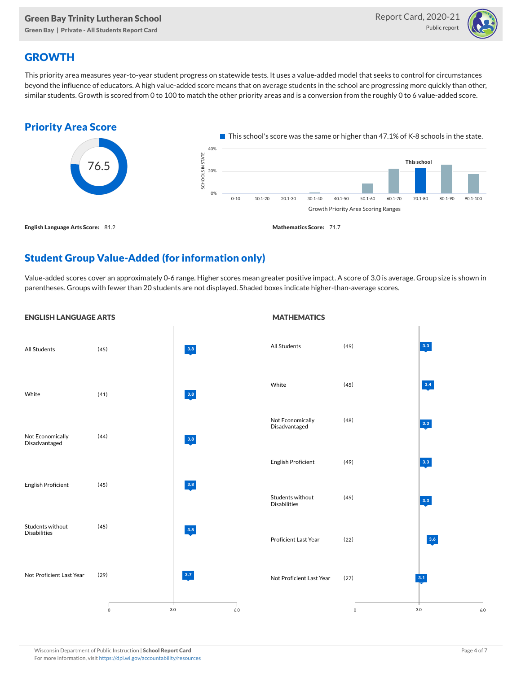### Green Bay Trinity Lutheran School

Green Bay | Private - All Students Report Card



## **GROWTH**

This priority area measures year-to-year student progress on statewide tests. It uses a value-added model that seeks to control for circumstances beyond the influence of educators. A high value-added score means that on average students in the school are progressing more quickly than other, similar students. Growth is scored from 0 to 100 to match the other priority areas and is a conversion from the roughly 0 to 6 value-added score.



## Student Group Value-Added (for information only)

Value-added scores cover an approximately 0-6 range. Higher scores mean greater positive impact. A score of 3.0 is average. Group size is shown in parentheses. Groups with fewer than 20 students are not displayed. Shaded boxes indicate higher-than-average scores.

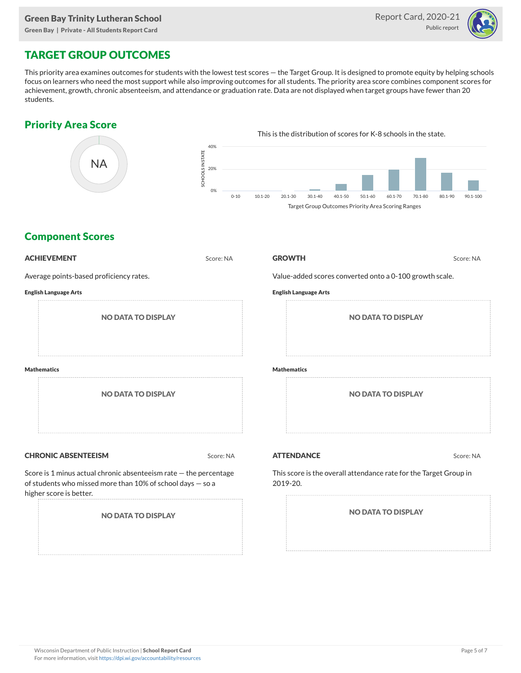Green Bay | Private - All Students Report Card



### TARGET GROUP OUTCOMES

This priority area examines outcomes for students with the lowest test scores — the Target Group. It is designed to promote equity by helping schools focus on learners who need the most support while also improving outcomes for all students. The priority area score combines component scores for achievement, growth, chronic absenteeism, and attendance or graduation rate. Data are not displayed when target groups have fewer than 20 students.

### Priority Area Score



### Component Scores

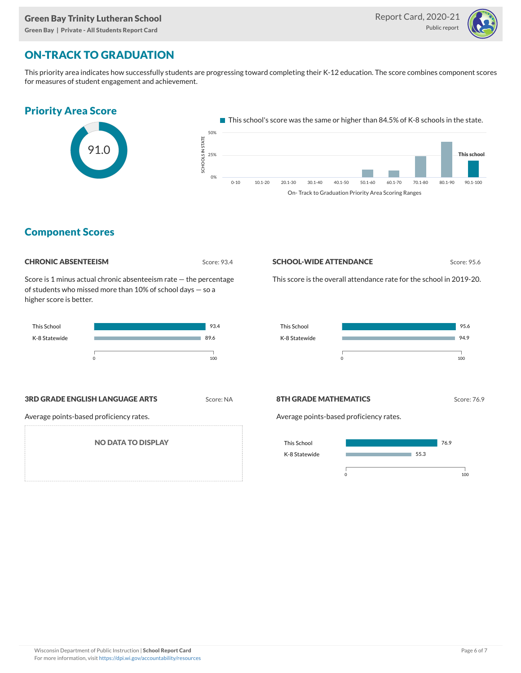Green Bay | Private - All Students Report Card



## ON-TRACK TO GRADUATION

This priority area indicates how successfully students are progressing toward completing their K-12 education. The score combines component scores for measures of student engagement and achievement.



### Component Scores



Score is 1 minus actual chronic absenteeism rate — the percentage of students who missed more than 10% of school days — so a higher score is better.



#### **3RD GRADE ENGLISH LANGUAGE ARTS** Score: NA

Average points-based proficiency rates.

NO DATA TO DISPLAY

#### **SCHOOL-WIDE ATTENDANCE** Score: 95.6

This score is the overall attendance rate for the school in 2019-20.



#### 8TH GRADE MATHEMATICS Score: 76.9

Average points-based proficiency rates.